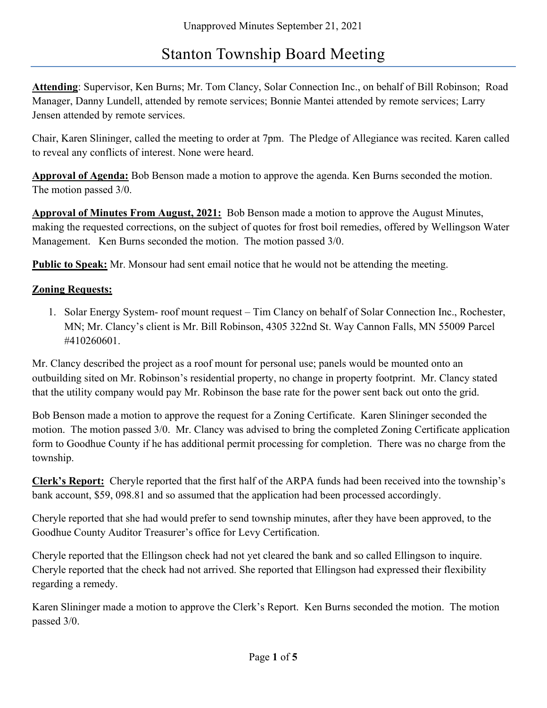# Stanton Township Board Meeting

Attending: Supervisor, Ken Burns; Mr. Tom Clancy, Solar Connection Inc., on behalf of Bill Robinson; Road Manager, Danny Lundell, attended by remote services; Bonnie Mantei attended by remote services; Larry Jensen attended by remote services.

Chair, Karen Slininger, called the meeting to order at 7pm. The Pledge of Allegiance was recited. Karen called to reveal any conflicts of interest. None were heard.

Approval of Agenda: Bob Benson made a motion to approve the agenda. Ken Burns seconded the motion. The motion passed 3/0.

Approval of Minutes From August, 2021: Bob Benson made a motion to approve the August Minutes, making the requested corrections, on the subject of quotes for frost boil remedies, offered by Wellingson Water Management. Ken Burns seconded the motion. The motion passed 3/0.

**Public to Speak:** Mr. Monsour had sent email notice that he would not be attending the meeting.

## Zoning Requests:

1. Solar Energy System- roof mount request – Tim Clancy on behalf of Solar Connection Inc., Rochester, MN; Mr. Clancy's client is Mr. Bill Robinson, 4305 322nd St. Way Cannon Falls, MN 55009 Parcel #410260601.

Mr. Clancy described the project as a roof mount for personal use; panels would be mounted onto an outbuilding sited on Mr. Robinson's residential property, no change in property footprint. Mr. Clancy stated that the utility company would pay Mr. Robinson the base rate for the power sent back out onto the grid.

Bob Benson made a motion to approve the request for a Zoning Certificate. Karen Slininger seconded the motion. The motion passed 3/0. Mr. Clancy was advised to bring the completed Zoning Certificate application form to Goodhue County if he has additional permit processing for completion. There was no charge from the township.

Clerk's Report: Cheryle reported that the first half of the ARPA funds had been received into the township's bank account, \$59, 098.81 and so assumed that the application had been processed accordingly.

Cheryle reported that she had would prefer to send township minutes, after they have been approved, to the Goodhue County Auditor Treasurer's office for Levy Certification.

Cheryle reported that the Ellingson check had not yet cleared the bank and so called Ellingson to inquire. Cheryle reported that the check had not arrived. She reported that Ellingson had expressed their flexibility regarding a remedy.

Karen Slininger made a motion to approve the Clerk's Report. Ken Burns seconded the motion. The motion passed 3/0.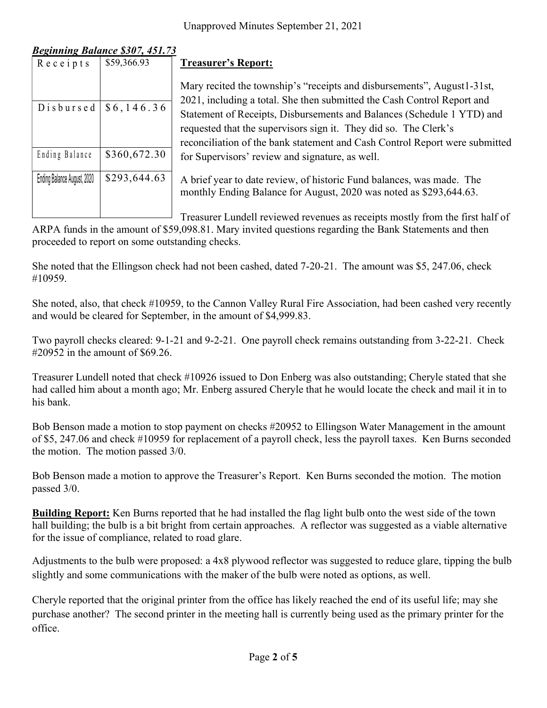## Beginning Balance \$307, 451.73

|                             |                                                       | Unapproved Minutes September 21, 2021                                                                                                                   |
|-----------------------------|-------------------------------------------------------|---------------------------------------------------------------------------------------------------------------------------------------------------------|
|                             |                                                       |                                                                                                                                                         |
| $R$ e c e i p t s           | <b>Beginning Balance \$307, 451.73</b><br>\$59,366.93 | <b>Treasurer's Report:</b>                                                                                                                              |
|                             |                                                       | Mary recited the township's "receipts and disbu                                                                                                         |
| Disbursed                   | \$6,146.36                                            | 2021, including a total. She then submitted the O<br>Statement of Receipts, Disbursements and Balar<br>requested that the supervisors sign it. They did |
| Ending Balance              | \$360,672.30                                          | reconciliation of the bank statement and Cash C<br>for Supervisors' review and signature, as well.                                                      |
| Ending Balance August, 2020 | \$293,644.63                                          | A brief year to date review, of historic Fund bal<br>monthly Ending Balance for August, 2020 was:                                                       |

Mary recited the township's "receipts and disbursements", August1-31st, 2021, including a total. She then submitted the Cash Control Report and Statement of Receipts, Disbursements and Balances (Schedule 1 YTD) and requested that the supervisors sign it. They did so. The Clerk's reconciliation of the bank statement and Cash Control Report were submitted for Supervisors' review and signature, as well. Unapproved Minutes September 21, 2021<br>
Receipts \$59,366.93<br>
Treasurer's Report:<br>
Mary recited the township's "receipts and disbu<br>
D is b u r s ed \$6, 146.36<br>
Statement of Receipts, Disbursements and Bala<br>
requested that t

Ending Balance August, 2020  $\,|\,$  \$293,644.63  $\,|\,$  A brief year to date review, of historic Fund balances, was made. The monthly Ending Balance for August, 2020 was noted as \$293,644.63.

 $\Box$  Treasurer Lundell reviewed revenues as receipts mostly from the first half of

ARPA funds in the amount of \$59,098.81. Mary invited questions regarding the Bank Statements and then proceeded to report on some outstanding checks.

She noted that the Ellingson check had not been cashed, dated 7-20-21. The amount was \$5, 247.06, check #10959.

She noted, also, that check #10959, to the Cannon Valley Rural Fire Association, had been cashed very recently and would be cleared for September, in the amount of \$4,999.83.

Two payroll checks cleared: 9-1-21 and 9-2-21. One payroll check remains outstanding from 3-22-21. Check #20952 in the amount of \$69.26.

Treasurer Lundell noted that check #10926 issued to Don Enberg was also outstanding; Cheryle stated that she had called him about a month ago; Mr. Enberg assured Cheryle that he would locate the check and mail it in to his bank.

Bob Benson made a motion to stop payment on checks #20952 to Ellingson Water Management in the amount of \$5, 247.06 and check #10959 for replacement of a payroll check, less the payroll taxes. Ken Burns seconded the motion. The motion passed 3/0.

Bob Benson made a motion to approve the Treasurer's Report. Ken Burns seconded the motion. The motion passed 3/0.

Building Report: Ken Burns reported that he had installed the flag light bulb onto the west side of the town hall building; the bulb is a bit bright from certain approaches. A reflector was suggested as a viable alternative for the issue of compliance, related to road glare.

Adjustments to the bulb were proposed: a 4x8 plywood reflector was suggested to reduce glare, tipping the bulb slightly and some communications with the maker of the bulb were noted as options, as well.

Cheryle reported that the original printer from the office has likely reached the end of its useful life; may she purchase another? The second printer in the meeting hall is currently being used as the primary printer for the office.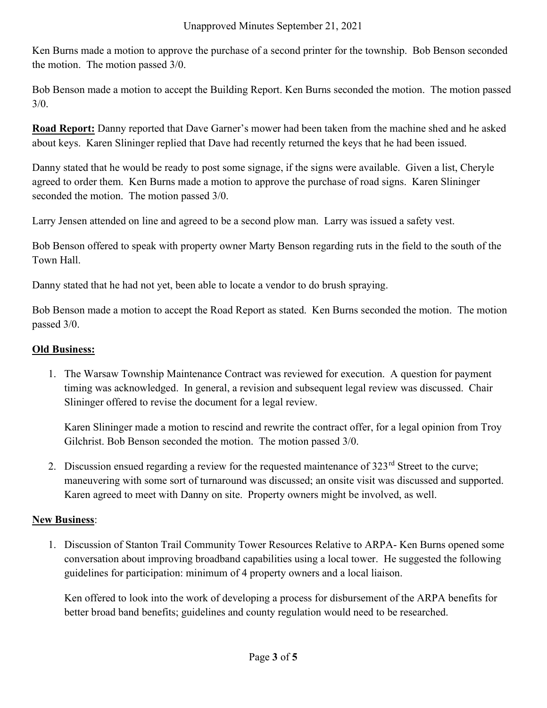Ken Burns made a motion to approve the purchase of a second printer for the township. Bob Benson seconded the motion. The motion passed 3/0.

Bob Benson made a motion to accept the Building Report. Ken Burns seconded the motion. The motion passed 3/0.

Road Report: Danny reported that Dave Garner's mower had been taken from the machine shed and he asked about keys. Karen Slininger replied that Dave had recently returned the keys that he had been issued.

Danny stated that he would be ready to post some signage, if the signs were available. Given a list, Cheryle agreed to order them. Ken Burns made a motion to approve the purchase of road signs. Karen Slininger seconded the motion. The motion passed 3/0.

Larry Jensen attended on line and agreed to be a second plow man. Larry was issued a safety vest.

Bob Benson offered to speak with property owner Marty Benson regarding ruts in the field to the south of the Town Hall.

Danny stated that he had not yet, been able to locate a vendor to do brush spraying.

Bob Benson made a motion to accept the Road Report as stated. Ken Burns seconded the motion. The motion passed 3/0.

#### Old Business:

1. The Warsaw Township Maintenance Contract was reviewed for execution. A question for payment timing was acknowledged. In general, a revision and subsequent legal review was discussed. Chair Slininger offered to revise the document for a legal review.

Karen Slininger made a motion to rescind and rewrite the contract offer, for a legal opinion from Troy Gilchrist. Bob Benson seconded the motion. The motion passed 3/0.

2. Discussion ensued regarding a review for the requested maintenance of  $323<sup>rd</sup>$  Street to the curve; maneuvering with some sort of turnaround was discussed; an onsite visit was discussed and supported. Karen agreed to meet with Danny on site. Property owners might be involved, as well.

#### New Business:

1. Discussion of Stanton Trail Community Tower Resources Relative to ARPA- Ken Burns opened some conversation about improving broadband capabilities using a local tower. He suggested the following guidelines for participation: minimum of 4 property owners and a local liaison.

Ken offered to look into the work of developing a process for disbursement of the ARPA benefits for better broad band benefits; guidelines and county regulation would need to be researched.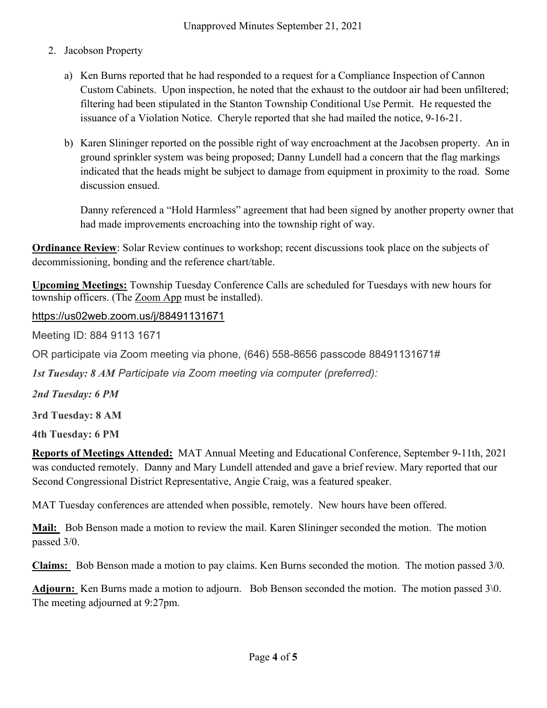- 2. Jacobson Property
	- a) Ken Burns reported that he had responded to a request for a Compliance Inspection of Cannon Custom Cabinets. Upon inspection, he noted that the exhaust to the outdoor air had been unfiltered; filtering had been stipulated in the Stanton Township Conditional Use Permit. He requested the issuance of a Violation Notice. Cheryle reported that she had mailed the notice, 9-16-21.
	- b) Karen Slininger reported on the possible right of way encroachment at the Jacobsen property. An in ground sprinkler system was being proposed; Danny Lundell had a concern that the flag markings indicated that the heads might be subject to damage from equipment in proximity to the road. Some discussion ensued.

Danny referenced a "Hold Harmless" agreement that had been signed by another property owner that had made improvements encroaching into the township right of way.

**Ordinance Review**: Solar Review continues to workshop; recent discussions took place on the subjects of decommissioning, bonding and the reference chart/table.

Upcoming Meetings: Township Tuesday Conference Calls are scheduled for Tuesdays with new hours for township officers. (The Zoom App must be installed).

https://us02web.zoom.us/j/88491131671

Meeting ID: 884 9113 1671

OR participate via Zoom meeting via phone, (646) 558-8656 passcode 88491131671#

1st Tuesday: 8 AM Participate via Zoom meeting via computer (preferred):

2nd Tuesday: 6 PM

3rd Tuesday: 8 AM

4th Tuesday: 6 PM

Reports of Meetings Attended: MAT Annual Meeting and Educational Conference, September 9-11th, 2021 was conducted remotely. Danny and Mary Lundell attended and gave a brief review. Mary reported that our Second Congressional District Representative, Angie Craig, was a featured speaker.

MAT Tuesday conferences are attended when possible, remotely. New hours have been offered.

Mail: Bob Benson made a motion to review the mail. Karen Slininger seconded the motion. The motion passed 3/0.

Claims: Bob Benson made a motion to pay claims. Ken Burns seconded the motion. The motion passed 3/0.

Adjourn: Ken Burns made a motion to adjourn. Bob Benson seconded the motion. The motion passed 3\0. The meeting adjourned at 9:27pm.